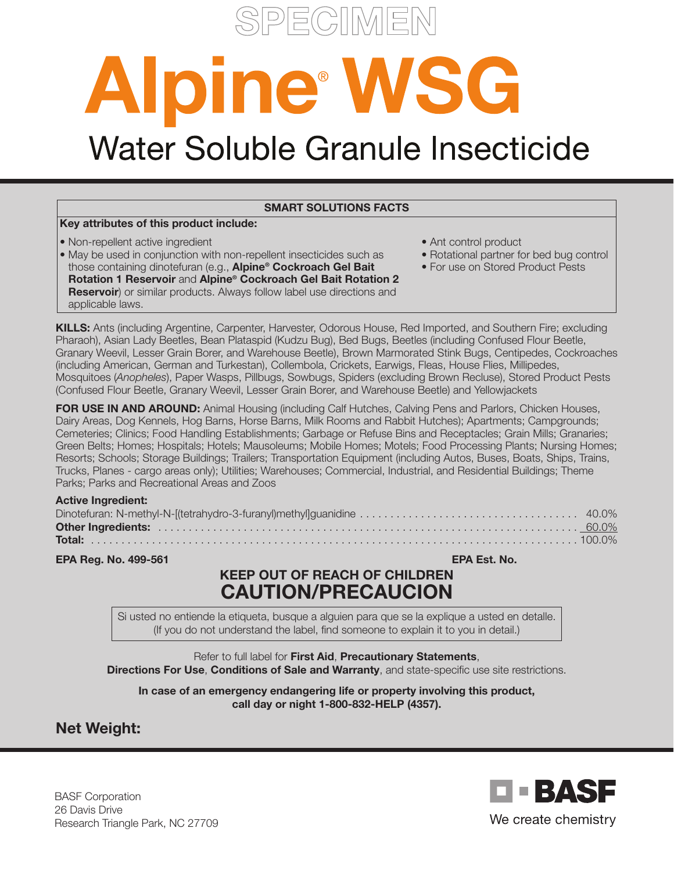

# Alpine WSG<br>Water Soluble Granule Insecticide

#### SMART SOLUTIONS FACTS

#### Key attributes of this product include:

- Non-repellent active ingredient
- May be used in conjunction with non-repellent insecticides such as those containing dinotefuran (e.g., Alpine® Cockroach Gel Bait
- Rotation 1 Reservoir and Alpine® Cockroach Gel Bait Rotation 2 **Reservoir**) or similar products. Always follow label use directions and applicable laws.
- Ant control product
- Rotational partner for bed bug control
- For use on Stored Product Pests

KILLS: Ants (including Argentine, Carpenter, Harvester, Odorous House, Red Imported, and Southern Fire; excluding Pharaoh), Asian Lady Beetles, Bean Plataspid (Kudzu Bug), Bed Bugs, Beetles (including Confused Flour Beetle, Granary Weevil, Lesser Grain Borer, and Warehouse Beetle), Brown Marmorated Stink Bugs, Centipedes, Cockroaches (including American, German and Turkestan), Collembola, Crickets, Earwigs, Fleas, House Flies, Millipedes, Mosquitoes (*Anopheles*), Paper Wasps, Pillbugs, Sowbugs, Spiders (excluding Brown Recluse), Stored Product Pests (Confused Flour Beetle, Granary Weevil, Lesser Grain Borer, and Warehouse Beetle) and Yellowjackets

FOR USE IN AND AROUND: Animal Housing (including Calf Hutches, Calving Pens and Parlors, Chicken Houses, Dairy Areas, Dog Kennels, Hog Barns, Horse Barns, Milk Rooms and Rabbit Hutches); Apartments; Campgrounds; Cemeteries; Clinics; Food Handling Establishments; Garbage or Refuse Bins and Receptacles; Grain Mills; Granaries; Green Belts; Homes; Hospitals; Hotels; Mausoleums; Mobile Homes; Motels; Food Processing Plants; Nursing Homes; Resorts; Schools; Storage Buildings; Trailers; Transportation Equipment (including Autos, Buses, Boats, Ships, Trains, Trucks, Planes - cargo areas only); Utilities; Warehouses; Commercial, Industrial, and Residential Buildings; Theme Parks; Parks and Recreational Areas and Zoos

#### Active Ingredient:

EPA Reg. No. 499-561 EPA Est. No.

# KEEP OUT OF REACH OF CHILDREN CAUTION/PRECAUCION

Si usted no entiende la etiqueta, busque a alguien para que se la explique a usted en detalle. (If you do not understand the label, find someone to explain it to you in detail.)

Refer to full label for First Aid, Precautionary Statements, Directions For Use, Conditions of Sale and Warranty, and state-specific use site restrictions.

In case of an emergency endangering life or property involving this product, call day or night 1-800-832-HELP (4357).

# Net Weight:

BASF Corporation 26 Davis Drive Research Triangle Park, NC 27709

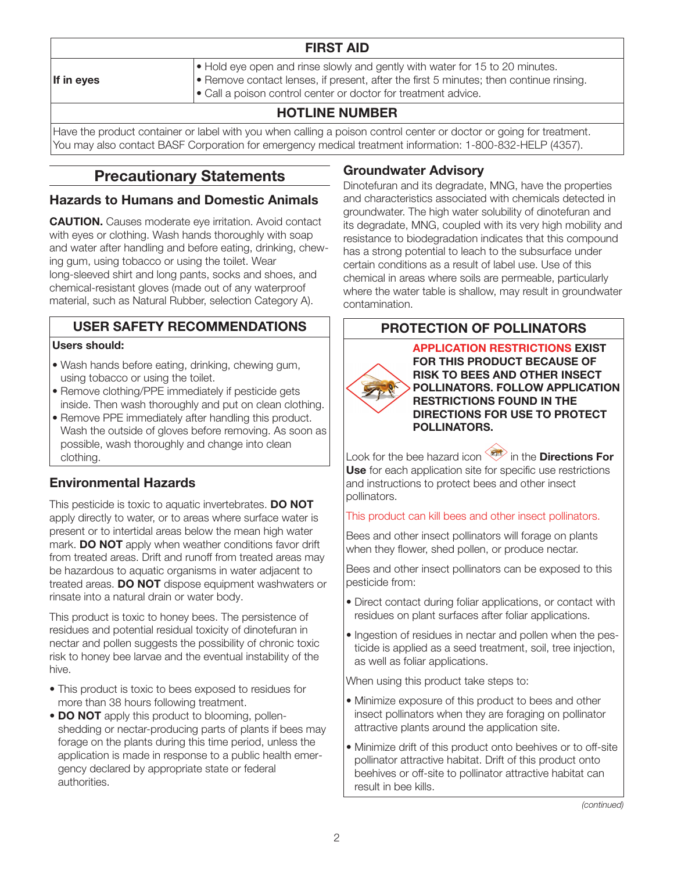| <b>FIRST AID</b>       |                                                                                                                                                                                                                                                                      |  |
|------------------------|----------------------------------------------------------------------------------------------------------------------------------------------------------------------------------------------------------------------------------------------------------------------|--|
| $\parallel$ If in eyes | $\bullet$ Hold eye open and rinse slowly and gently with water for 15 to 20 minutes.<br>$\blacktriangleright$ Remove contact lenses, if present, after the first 5 minutes; then continue rinsing.<br>• Call a poison control center or doctor for treatment advice. |  |
| LIATLINE NILIMER       |                                                                                                                                                                                                                                                                      |  |

# HOTLINE NUMBER

Have the product container or label with you when calling a poison control center or doctor or going for treatment. You may also contact BASF Corporation for emergency medical treatment information: 1-800-832-HELP (4357).

# Precautionary Statements

#### Hazards to Humans and Domestic Animals

CAUTION. Causes moderate eye irritation. Avoid contact with eyes or clothing. Wash hands thoroughly with soap and water after handling and before eating, drinking, chewing gum, using tobacco or using the toilet. Wear long-sleeved shirt and long pants, socks and shoes, and chemical-resistant gloves (made out of any waterproof material, such as Natural Rubber, selection Category A).

# USER SAFETY RECOMMENDATIONS

#### Users should:

- Wash hands before eating, drinking, chewing gum, using tobacco or using the toilet.
- Remove clothing/PPE immediately if pesticide gets inside. Then wash thoroughly and put on clean clothing.
- Remove PPE immediately after handling this product. Wash the outside of gloves before removing. As soon as possible, wash thoroughly and change into clean clothing.

# Environmental Hazards

This pesticide is toxic to aquatic invertebrates. DO NOT apply directly to water, or to areas where surface water is present or to intertidal areas below the mean high water mark. DO NOT apply when weather conditions favor drift from treated areas. Drift and runoff from treated areas may be hazardous to aquatic organisms in water adjacent to treated areas. DO NOT dispose equipment washwaters or rinsate into a natural drain or water body.

This product is toxic to honey bees. The persistence of residues and potential residual toxicity of dinotefuran in nectar and pollen suggests the possibility of chronic toxic risk to honey bee larvae and the eventual instability of the hive.

- This product is toxic to bees exposed to residues for more than 38 hours following treatment.
- DO NOT apply this product to blooming, pollenshedding or nectar-producing parts of plants if bees may forage on the plants during this time period, unless the application is made in response to a public health emergency declared by appropriate state or federal authorities.

# Groundwater Advisory

Dinotefuran and its degradate, MNG, have the properties and characteristics associated with chemicals detected in groundwater. The high water solubility of dinotefuran and its degradate, MNG, coupled with its very high mobility and resistance to biodegradation indicates that this compound has a strong potential to leach to the subsurface under certain conditions as a result of label use. Use of this chemical in areas where soils are permeable, particularly where the water table is shallow, may result in groundwater contamination.

# PROTECTION OF POLLINATORS

APPLICATION RESTRICTIONS EXIST FOR THIS PRODUCT BECAUSE OF RISK TO BEES AND OTHER INSECT POLLINATORS. FOLLOW APPLICATION RESTRICTIONS FOUND IN THE DIRECTIONS FOR USE TO PROTECT POLLINATORS.

Look for the bee hazard icon  $\overline{\ll}$  in the Directions For Use for each application site for specific use restrictions and instructions to protect bees and other insect pollinators.

#### This product can kill bees and other insect pollinators.

Bees and other insect pollinators will forage on plants when they flower, shed pollen, or produce nectar.

Bees and other insect pollinators can be exposed to this pesticide from:

- Direct contact during foliar applications, or contact with residues on plant surfaces after foliar applications.
- Ingestion of residues in nectar and pollen when the pesticide is applied as a seed treatment, soil, tree injection, as well as foliar applications.

When using this product take steps to:

- Minimize exposure of this product to bees and other insect pollinators when they are foraging on pollinator attractive plants around the application site.
- Minimize drift of this product onto beehives or to off-site pollinator attractive habitat. Drift of this product onto beehives or off-site to pollinator attractive habitat can result in bee kills.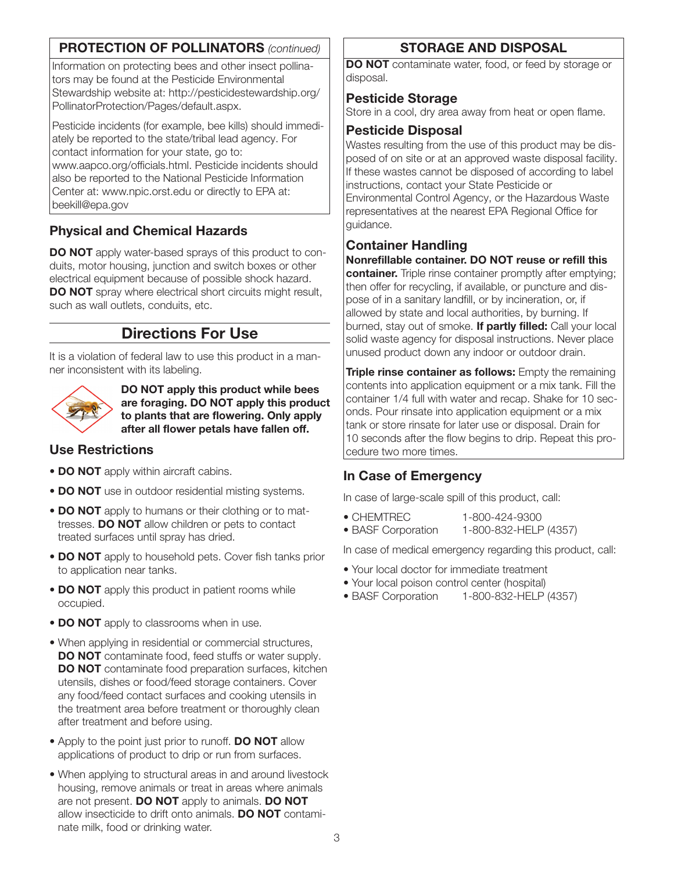# PROTECTION OF POLLINATORS *(continued)*

Information on protecting bees and other insect pollinators may be found at the Pesticide Environmental Stewardship website at: http://pesticidestewardship.org/ PollinatorProtection/Pages/default.aspx.

Pesticide incidents (for example, bee kills) should immediately be reported to the state/tribal lead agency. For contact information for your state, go to: www.aapco.org/officials.html. Pesticide incidents should also be reported to the National Pesticide Information Center at: www.npic.orst.edu or directly to EPA at: beekill@epa.gov

# Physical and Chemical Hazards

**DO NOT** apply water-based sprays of this product to conduits, motor housing, junction and switch boxes or other electrical equipment because of possible shock hazard. DO NOT spray where electrical short circuits might result, such as wall outlets, conduits, etc.

# Directions For Use

It is a violation of federal law to use this product in a manner inconsistent with its labeling.



DO NOT apply this product while bees are foraging. DO NOT apply this product to plants that are flowering. Only apply after all flower petals have fallen off.

# Use Restrictions

- DO NOT apply within aircraft cabins.
- DO NOT use in outdoor residential misting systems.
- **DO NOT** apply to humans or their clothing or to mattresses. DO NOT allow children or pets to contact treated surfaces until spray has dried.
- DO NOT apply to household pets. Cover fish tanks prior to application near tanks.
- DO NOT apply this product in patient rooms while occupied.
- DO NOT apply to classrooms when in use.
- When applying in residential or commercial structures, **DO NOT** contaminate food, feed stuffs or water supply. DO NOT contaminate food preparation surfaces, kitchen utensils, dishes or food/feed storage containers. Cover any food/feed contact surfaces and cooking utensils in the treatment area before treatment or thoroughly clean after treatment and before using.
- Apply to the point just prior to runoff. **DO NOT** allow applications of product to drip or run from surfaces.
- When applying to structural areas in and around livestock housing, remove animals or treat in areas where animals are not present. **DO NOT** apply to animals. **DO NOT** allow insecticide to drift onto animals. DO NOT contaminate milk, food or drinking water.

# STORAGE AND DISPOSAL

DO NOT contaminate water, food, or feed by storage or disposal.

#### Pesticide Storage

Store in a cool, dry area away from heat or open flame.

#### Pesticide Disposal

Wastes resulting from the use of this product may be disposed of on site or at an approved waste disposal facility. If these wastes cannot be disposed of according to label instructions, contact your State Pesticide or Environmental Control Agency, or the Hazardous Waste representatives at the nearest EPA Regional Office for guidance.

# Container Handling

#### Nonrefillable container. DO NOT reuse or refill this

container. Triple rinse container promptly after emptying; then offer for recycling, if available, or puncture and dispose of in a sanitary landfill, or by incineration, or, if allowed by state and local authorities, by burning. If burned, stay out of smoke. If partly filled: Call your local solid waste agency for disposal instructions. Never place unused product down any indoor or outdoor drain.

**Triple rinse container as follows:** Empty the remaining contents into application equipment or a mix tank. Fill the container 1/4 full with water and recap. Shake for 10 seconds. Pour rinsate into application equipment or a mix tank or store rinsate for later use or disposal. Drain for 10 seconds after the flow begins to drip. Repeat this procedure two more times.

# In Case of Emergency

In case of large-scale spill of this product, call:

- CHEMTREC 1-800-424-9300
- BASF Corporation 1-800-832-HELP (4357)

In case of medical emergency regarding this product, call:

- Your local doctor for immediate treatment
- Your local poison control center (hospital)
- BASF Corporation 1-800-832-HELP (4357)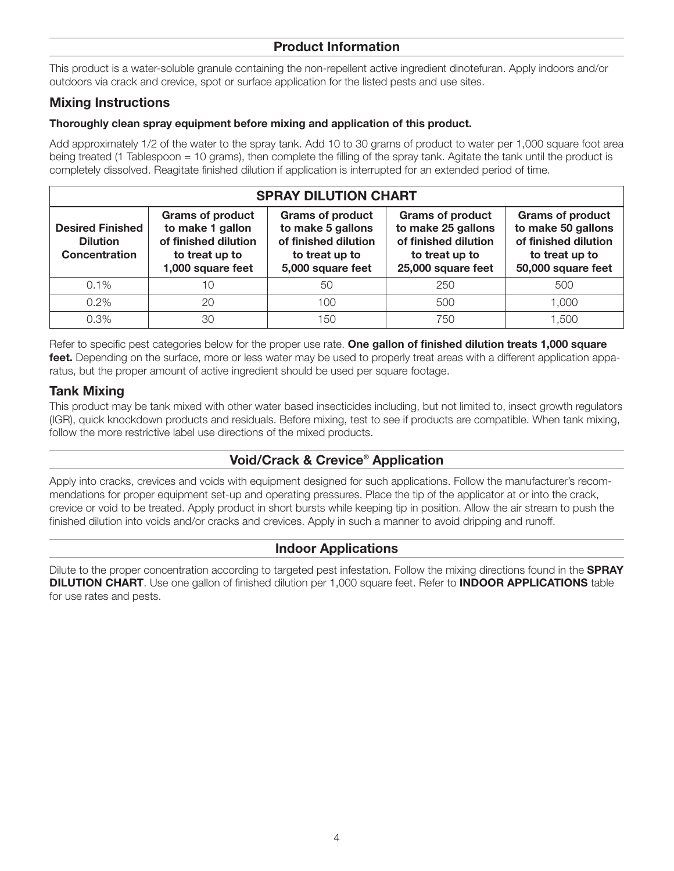#### Product Information

This product is a water-soluble granule containing the non-repellent active ingredient dinotefuran. Apply indoors and/or outdoors via crack and crevice, spot or surface application for the listed pests and use sites.

#### Mixing Instructions

#### Thoroughly clean spray equipment before mixing and application of this product.

Add approximately 1/2 of the water to the spray tank. Add 10 to 30 grams of product to water per 1,000 square foot area being treated (1 Tablespoon = 10 grams), then complete the filling of the spray tank. Agitate the tank until the product is completely dissolved. Reagitate finished dilution if application is interrupted for an extended period of time.

| <b>SPRAY DILUTION CHART</b>                                        |                                                                                                            |                                                                                                             |                                                                                                               |                                                                                                               |
|--------------------------------------------------------------------|------------------------------------------------------------------------------------------------------------|-------------------------------------------------------------------------------------------------------------|---------------------------------------------------------------------------------------------------------------|---------------------------------------------------------------------------------------------------------------|
| <b>Desired Finished</b><br><b>Dilution</b><br><b>Concentration</b> | <b>Grams of product</b><br>to make 1 gallon<br>of finished dilution<br>to treat up to<br>1,000 square feet | <b>Grams of product</b><br>to make 5 gallons<br>of finished dilution<br>to treat up to<br>5,000 square feet | <b>Grams of product</b><br>to make 25 gallons<br>of finished dilution<br>to treat up to<br>25,000 square feet | <b>Grams of product</b><br>to make 50 gallons<br>of finished dilution<br>to treat up to<br>50,000 square feet |
| $0.1\%$                                                            | 10                                                                                                         | 50                                                                                                          | 250                                                                                                           | 500                                                                                                           |
| $0.2\%$                                                            | 20                                                                                                         | 100                                                                                                         | 500                                                                                                           | 1.000                                                                                                         |
| 0.3%                                                               | 30                                                                                                         | 150                                                                                                         | 750                                                                                                           | 1.500                                                                                                         |

Refer to specific pest categories below for the proper use rate. One gallon of finished dilution treats 1,000 square feet. Depending on the surface, more or less water may be used to properly treat areas with a different application apparatus, but the proper amount of active ingredient should be used per square footage.

#### Tank Mixing

This product may be tank mixed with other water based insecticides including, but not limited to, insect growth regulators (IGR), quick knockdown products and residuals. Before mixing, test to see if products are compatible. When tank mixing, follow the more restrictive label use directions of the mixed products.

# Void/Crack & Crevice® Application

Apply into cracks, crevices and voids with equipment designed for such applications. Follow the manufacturer's recommendations for proper equipment set-up and operating pressures. Place the tip of the applicator at or into the crack, crevice or void to be treated. Apply product in short bursts while keeping tip in position. Allow the air stream to push the finished dilution into voids and/or cracks and crevices. Apply in such a manner to avoid dripping and runoff.

#### Indoor Applications

Dilute to the proper concentration according to targeted pest infestation. Follow the mixing directions found in the SPRAY **DILUTION CHART**. Use one gallon of finished dilution per 1,000 square feet. Refer to **INDOOR APPLICATIONS** table for use rates and pests.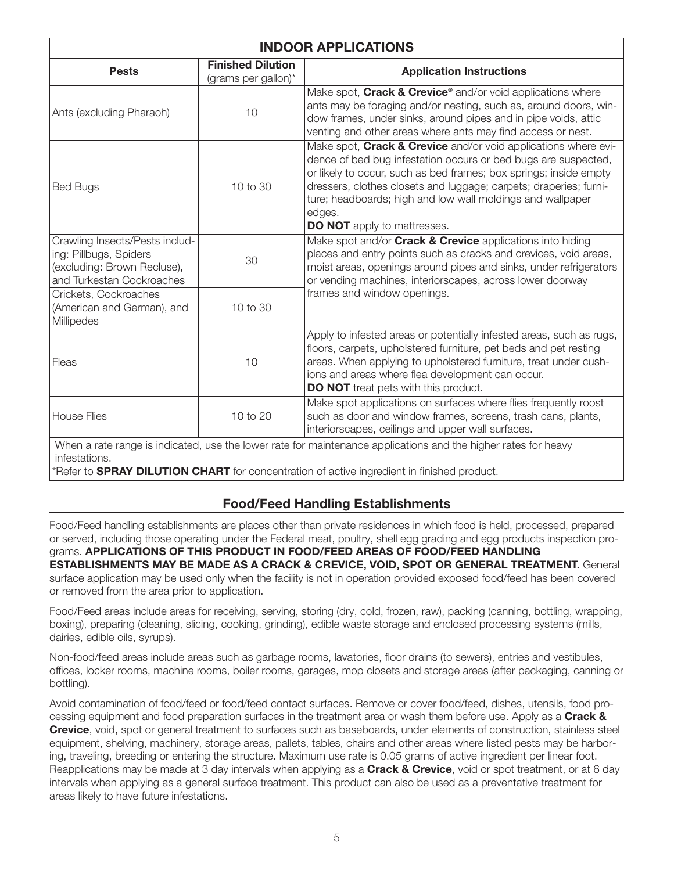| <b>INDOOR APPLICATIONS</b>                                                                                           |                                                 |                                                                                                                                                                                                                                                                                                                                                                                          |  |
|----------------------------------------------------------------------------------------------------------------------|-------------------------------------------------|------------------------------------------------------------------------------------------------------------------------------------------------------------------------------------------------------------------------------------------------------------------------------------------------------------------------------------------------------------------------------------------|--|
| <b>Pests</b>                                                                                                         | <b>Finished Dilution</b><br>(grams per gallon)* | <b>Application Instructions</b>                                                                                                                                                                                                                                                                                                                                                          |  |
| Ants (excluding Pharaoh)                                                                                             | 10                                              | Make spot, Crack & Crevice® and/or void applications where<br>ants may be foraging and/or nesting, such as, around doors, win-<br>dow frames, under sinks, around pipes and in pipe voids, attic<br>venting and other areas where ants may find access or nest.                                                                                                                          |  |
| <b>Bed Bugs</b>                                                                                                      | 10 to 30                                        | Make spot, Crack & Crevice and/or void applications where evi-<br>dence of bed bug infestation occurs or bed bugs are suspected,<br>or likely to occur, such as bed frames; box springs; inside empty<br>dressers, clothes closets and luggage; carpets; draperies; furni-<br>ture; headboards; high and low wall moldings and wallpaper<br>edges.<br><b>DO NOT</b> apply to mattresses. |  |
| Crawling Insects/Pests includ-<br>ing: Pillbugs, Spiders<br>(excluding: Brown Recluse),<br>and Turkestan Cockroaches | 30                                              | Make spot and/or <b>Crack &amp; Crevice</b> applications into hiding<br>places and entry points such as cracks and crevices, void areas,<br>moist areas, openings around pipes and sinks, under refrigerators<br>or vending machines, interiorscapes, across lower doorway                                                                                                               |  |
| Crickets, Cockroaches<br>(American and German), and<br>Millipedes                                                    | 10 to 30                                        | frames and window openings.                                                                                                                                                                                                                                                                                                                                                              |  |
| Fleas                                                                                                                | 10                                              | Apply to infested areas or potentially infested areas, such as rugs,<br>floors, carpets, upholstered furniture, pet beds and pet resting<br>areas. When applying to upholstered furniture, treat under cush-<br>ions and areas where flea development can occur.<br><b>DO NOT</b> treat pets with this product.                                                                          |  |
| <b>House Flies</b>                                                                                                   | 10 to 20                                        | Make spot applications on surfaces where flies frequently roost<br>such as door and window frames, screens, trash cans, plants,<br>interiorscapes, ceilings and upper wall surfaces.                                                                                                                                                                                                     |  |
| When a rate range is indicated, use the lower rate for maintenance applications and the higher rates for heavy       |                                                 |                                                                                                                                                                                                                                                                                                                                                                                          |  |

infestations.

\*Refer to **SPRAY DILUTION CHART** for concentration of active ingredient in finished product.

# Food/Feed Handling Establishments

Food/Feed handling establishments are places other than private residences in which food is held, processed, prepared or served, including those operating under the Federal meat, poultry, shell egg grading and egg products inspection pro-

grams. APPLICATIONS OF THIS PRODUCT IN FOOD/FEED AREAS OF FOOD/FEED HANDLING ESTABLISHMENTS MAY BE MADE AS A CRACK & CREVICE, VOID, SPOT OR GENERAL TREATMENT. General surface application may be used only when the facility is not in operation provided exposed food/feed has been covered or removed from the area prior to application.

Food/Feed areas include areas for receiving, serving, storing (dry, cold, frozen, raw), packing (canning, bottling, wrapping, boxing), preparing (cleaning, slicing, cooking, grinding), edible waste storage and enclosed processing systems (mills, dairies, edible oils, syrups).

Non-food/feed areas include areas such as garbage rooms, lavatories, floor drains (to sewers), entries and vestibules, offices, locker rooms, machine rooms, boiler rooms, garages, mop closets and storage areas (after packaging, canning or bottling).

Avoid contamination of food/feed or food/feed contact surfaces. Remove or cover food/feed, dishes, utensils, food processing equipment and food preparation surfaces in the treatment area or wash them before use. Apply as a Crack & Crevice, void, spot or general treatment to surfaces such as baseboards, under elements of construction, stainless steel equipment, shelving, machinery, storage areas, pallets, tables, chairs and other areas where listed pests may be harboring, traveling, breeding or entering the structure. Maximum use rate is 0.05 grams of active ingredient per linear foot. Reapplications may be made at 3 day intervals when applying as a **Crack & Crevice**, void or spot treatment, or at 6 day intervals when applying as a general surface treatment. This product can also be used as a preventative treatment for areas likely to have future infestations.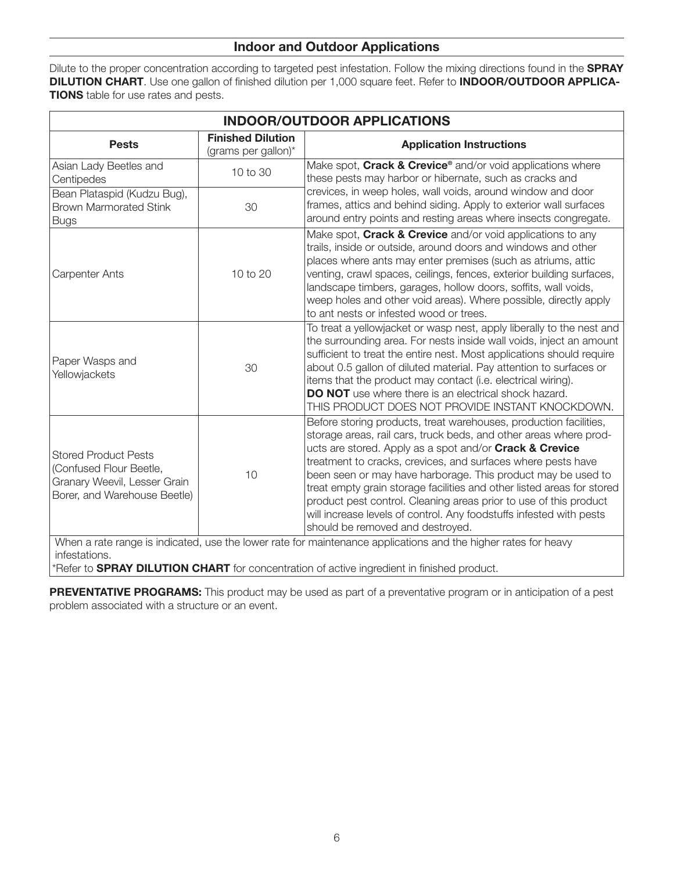#### Indoor and Outdoor Applications

Dilute to the proper concentration according to targeted pest infestation. Follow the mixing directions found in the SPRAY DILUTION CHART. Use one gallon of finished dilution per 1,000 square feet. Refer to INDOOR/OUTDOOR APPLICA-**TIONS** table for use rates and pests.

| <b>INDOOR/OUTDOOR APPLICATIONS</b>                                                                                     |                                                 |                                                                                                                                                                                                                                                                                                                                                                                                                                                                                                                                                                                             |
|------------------------------------------------------------------------------------------------------------------------|-------------------------------------------------|---------------------------------------------------------------------------------------------------------------------------------------------------------------------------------------------------------------------------------------------------------------------------------------------------------------------------------------------------------------------------------------------------------------------------------------------------------------------------------------------------------------------------------------------------------------------------------------------|
| <b>Pests</b>                                                                                                           | <b>Finished Dilution</b><br>(grams per gallon)* | <b>Application Instructions</b>                                                                                                                                                                                                                                                                                                                                                                                                                                                                                                                                                             |
| Asian Lady Beetles and<br>Centipedes                                                                                   | 10 to 30                                        | Make spot, Crack & Crevice® and/or void applications where<br>these pests may harbor or hibernate, such as cracks and                                                                                                                                                                                                                                                                                                                                                                                                                                                                       |
| Bean Plataspid (Kudzu Bug),<br><b>Brown Marmorated Stink</b><br><b>Bugs</b>                                            | 30                                              | crevices, in weep holes, wall voids, around window and door<br>frames, attics and behind siding. Apply to exterior wall surfaces<br>around entry points and resting areas where insects congregate.                                                                                                                                                                                                                                                                                                                                                                                         |
| <b>Carpenter Ants</b>                                                                                                  | 10 to 20                                        | Make spot, Crack & Crevice and/or void applications to any<br>trails, inside or outside, around doors and windows and other<br>places where ants may enter premises (such as atriums, attic<br>venting, crawl spaces, ceilings, fences, exterior building surfaces,<br>landscape timbers, garages, hollow doors, soffits, wall voids,<br>weep holes and other void areas). Where possible, directly apply<br>to ant nests or infested wood or trees.                                                                                                                                        |
| Paper Wasps and<br>Yellowjackets                                                                                       | 30                                              | To treat a yellowjacket or wasp nest, apply liberally to the nest and<br>the surrounding area. For nests inside wall voids, inject an amount<br>sufficient to treat the entire nest. Most applications should require<br>about 0.5 gallon of diluted material. Pay attention to surfaces or<br>items that the product may contact (i.e. electrical wiring).<br><b>DO NOT</b> use where there is an electrical shock hazard.<br>THIS PRODUCT DOES NOT PROVIDE INSTANT KNOCKDOWN.                                                                                                             |
| <b>Stored Product Pests</b><br>(Confused Flour Beetle,<br>Granary Weevil, Lesser Grain<br>Borer, and Warehouse Beetle) | 10                                              | Before storing products, treat warehouses, production facilities,<br>storage areas, rail cars, truck beds, and other areas where prod-<br>ucts are stored. Apply as a spot and/or Crack & Crevice<br>treatment to cracks, crevices, and surfaces where pests have<br>been seen or may have harborage. This product may be used to<br>treat empty grain storage facilities and other listed areas for stored<br>product pest control. Cleaning areas prior to use of this product<br>will increase levels of control. Any foodstuffs infested with pests<br>should be removed and destroyed. |
| infestations.                                                                                                          |                                                 | When a rate range is indicated, use the lower rate for maintenance applications and the higher rates for heavy                                                                                                                                                                                                                                                                                                                                                                                                                                                                              |

\*Refer to **SPRAY DILUTION CHART** for concentration of active ingredient in finished product.

PREVENTATIVE PROGRAMS: This product may be used as part of a preventative program or in anticipation of a pest problem associated with a structure or an event.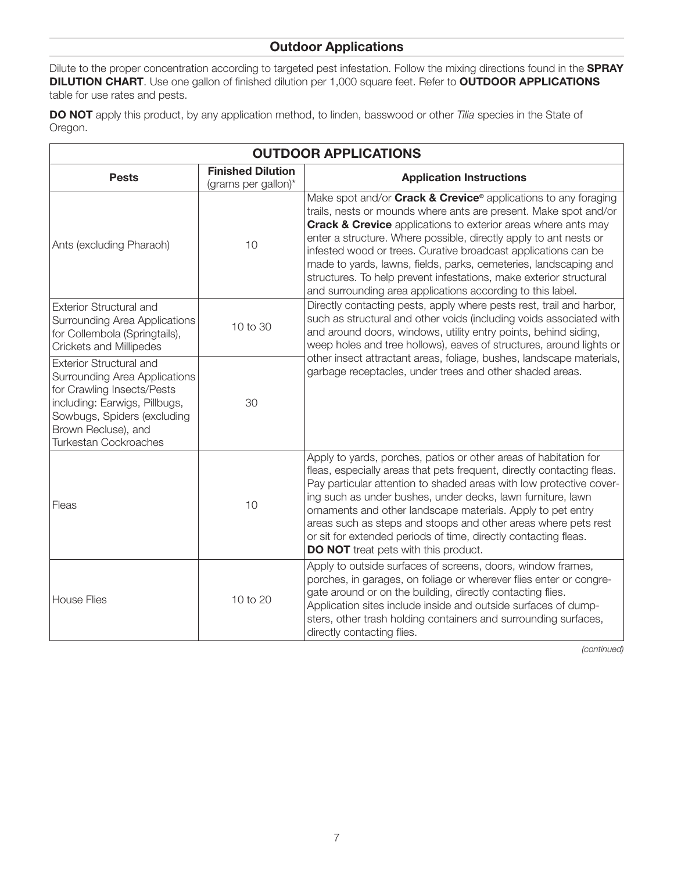#### Outdoor Applications

Dilute to the proper concentration according to targeted pest infestation. Follow the mixing directions found in the SPRAY DILUTION CHART. Use one gallon of finished dilution per 1,000 square feet. Refer to OUTDOOR APPLICATIONS table for use rates and pests.

DO NOT apply this product, by any application method, to linden, basswood or other *Tilia* species in the State of Oregon.

| <b>OUTDOOR APPLICATIONS</b>                                                                                                                                                                                          |                                                 |                                                                                                                                                                                                                                                                                                                                                                                                                                                                                                                                                                          |
|----------------------------------------------------------------------------------------------------------------------------------------------------------------------------------------------------------------------|-------------------------------------------------|--------------------------------------------------------------------------------------------------------------------------------------------------------------------------------------------------------------------------------------------------------------------------------------------------------------------------------------------------------------------------------------------------------------------------------------------------------------------------------------------------------------------------------------------------------------------------|
| <b>Pests</b>                                                                                                                                                                                                         | <b>Finished Dilution</b><br>(grams per gallon)* | <b>Application Instructions</b>                                                                                                                                                                                                                                                                                                                                                                                                                                                                                                                                          |
| Ants (excluding Pharaoh)                                                                                                                                                                                             | 10                                              | Make spot and/or <b>Crack &amp; Crevice®</b> applications to any foraging<br>trails, nests or mounds where ants are present. Make spot and/or<br><b>Crack &amp; Crevice</b> applications to exterior areas where ants may<br>enter a structure. Where possible, directly apply to ant nests or<br>infested wood or trees. Curative broadcast applications can be<br>made to yards, lawns, fields, parks, cemeteries, landscaping and<br>structures. To help prevent infestations, make exterior structural<br>and surrounding area applications according to this label. |
| <b>Exterior Structural and</b><br>Surrounding Area Applications<br>for Collembola (Springtails),<br><b>Crickets and Millipedes</b>                                                                                   | 10 to 30                                        | Directly contacting pests, apply where pests rest, trail and harbor,<br>such as structural and other voids (including voids associated with<br>and around doors, windows, utility entry points, behind siding,<br>weep holes and tree hollows), eaves of structures, around lights or                                                                                                                                                                                                                                                                                    |
| <b>Exterior Structural and</b><br>Surrounding Area Applications<br>for Crawling Insects/Pests<br>including: Earwigs, Pillbugs,<br>Sowbugs, Spiders (excluding<br>Brown Recluse), and<br><b>Turkestan Cockroaches</b> | 30                                              | other insect attractant areas, foliage, bushes, landscape materials,<br>garbage receptacles, under trees and other shaded areas.                                                                                                                                                                                                                                                                                                                                                                                                                                         |
| Fleas                                                                                                                                                                                                                | 10                                              | Apply to yards, porches, patios or other areas of habitation for<br>fleas, especially areas that pets frequent, directly contacting fleas.<br>Pay particular attention to shaded areas with low protective cover-<br>ing such as under bushes, under decks, lawn furniture, lawn<br>ornaments and other landscape materials. Apply to pet entry<br>areas such as steps and stoops and other areas where pets rest<br>or sit for extended periods of time, directly contacting fleas.<br><b>DO NOT</b> treat pets with this product.                                      |
| <b>House Flies</b>                                                                                                                                                                                                   | 10 to 20                                        | Apply to outside surfaces of screens, doors, window frames,<br>porches, in garages, on foliage or wherever flies enter or congre-<br>gate around or on the building, directly contacting flies.<br>Application sites include inside and outside surfaces of dump-<br>sters, other trash holding containers and surrounding surfaces,<br>directly contacting flies.                                                                                                                                                                                                       |

*(continued)*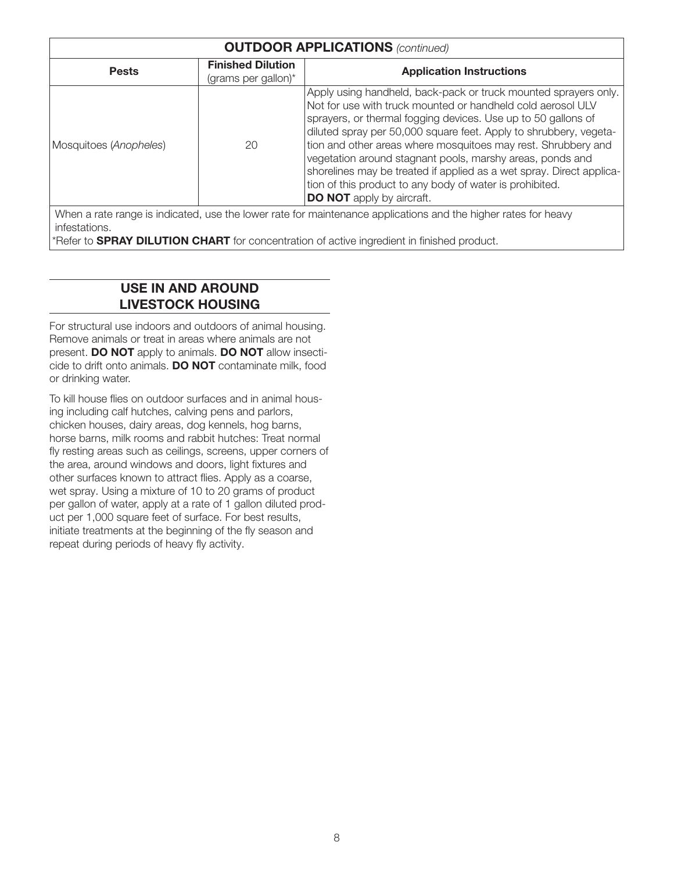| <b>OUTDOOR APPLICATIONS (continued)</b>                                                                        |                                                 |                                                                                                                                                                                                                                                                                                                                                                                                                                                                                                                                                                            |
|----------------------------------------------------------------------------------------------------------------|-------------------------------------------------|----------------------------------------------------------------------------------------------------------------------------------------------------------------------------------------------------------------------------------------------------------------------------------------------------------------------------------------------------------------------------------------------------------------------------------------------------------------------------------------------------------------------------------------------------------------------------|
| <b>Pests</b>                                                                                                   | <b>Finished Dilution</b><br>(grams per gallon)* | <b>Application Instructions</b>                                                                                                                                                                                                                                                                                                                                                                                                                                                                                                                                            |
| Mosquitoes (Anopheles)                                                                                         | 20                                              | Apply using handheld, back-pack or truck mounted sprayers only.<br>Not for use with truck mounted or handheld cold aerosol ULV<br>sprayers, or thermal fogging devices. Use up to 50 gallons of<br>diluted spray per 50,000 square feet. Apply to shrubbery, vegeta-<br>tion and other areas where mosquitoes may rest. Shrubbery and<br>vegetation around stagnant pools, marshy areas, ponds and<br>shorelines may be treated if applied as a wet spray. Direct applica-<br>tion of this product to any body of water is prohibited.<br><b>DO NOT</b> apply by aircraft. |
| When a rate range is indicated, use the lower rate for maintenance applications and the higher rates for heavy |                                                 |                                                                                                                                                                                                                                                                                                                                                                                                                                                                                                                                                                            |

\*Refer to **SPRAY DILUTION CHART** for concentration of active ingredient in finished product.

# USE IN AND AROUND LIVESTOCK HOUSING

infestations.

For structural use indoors and outdoors of animal housing. Remove animals or treat in areas where animals are not present. **DO NOT** apply to animals. **DO NOT** allow insecticide to drift onto animals. DO NOT contaminate milk, food or drinking water.

To kill house flies on outdoor surfaces and in animal housing including calf hutches, calving pens and parlors, chicken houses, dairy areas, dog kennels, hog barns, horse barns, milk rooms and rabbit hutches: Treat normal fly resting areas such as ceilings, screens, upper corners of the area, around windows and doors, light fixtures and other surfaces known to attract flies. Apply as a coarse, wet spray. Using a mixture of 10 to 20 grams of product per gallon of water, apply at a rate of 1 gallon diluted product per 1,000 square feet of surface. For best results, initiate treatments at the beginning of the fly season and repeat during periods of heavy fly activity.